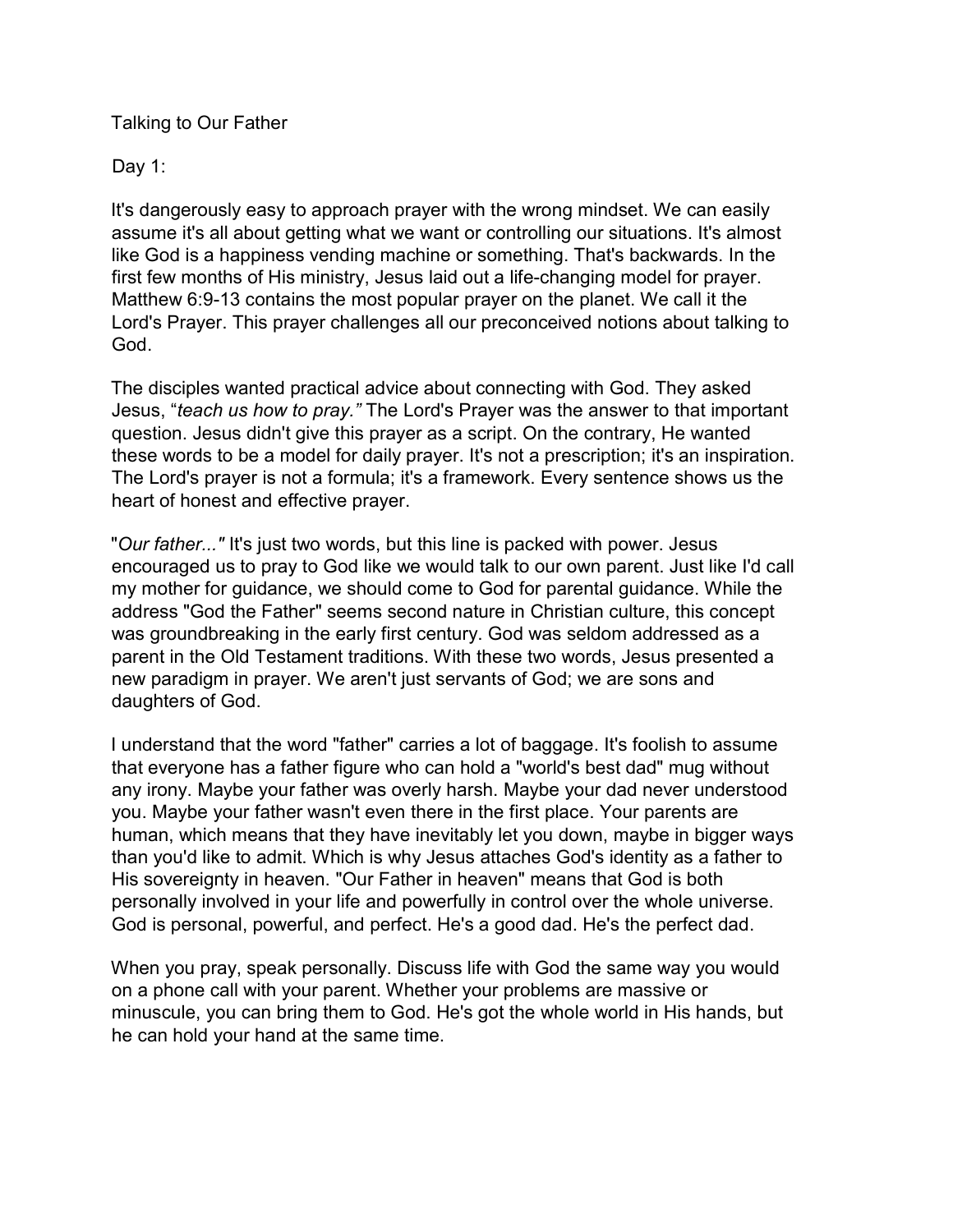Talking to Our Father

Day 1:

It's dangerously easy to approach prayer with the wrong mindset. We can easily assume it's all about getting what we want or controlling our situations. It's almost like God is a happiness vending machine or something. That's backwards. In the first few months of His ministry, Jesus laid out a life-changing model for prayer. Matthew 6:9-13 contains the most popular prayer on the planet. We call it the Lord's Prayer. This prayer challenges all our preconceived notions about talking to God.

The disciples wanted practical advice about connecting with God. They asked Jesus, "teach us how to pray." The Lord's Prayer was the answer to that important question. Jesus didn't give this prayer as a script. On the contrary, He wanted these words to be a model for daily prayer. It's not a prescription; it's an inspiration. The Lord's prayer is not a formula; it's a framework. Every sentence shows us the heart of honest and effective prayer.

"Our father..." It's just two words, but this line is packed with power. Jesus encouraged us to pray to God like we would talk to our own parent. Just like I'd call my mother for guidance, we should come to God for parental guidance. While the address "God the Father" seems second nature in Christian culture, this concept was groundbreaking in the early first century. God was seldom addressed as a parent in the Old Testament traditions. With these two words, Jesus presented a new paradigm in prayer. We aren't just servants of God; we are sons and daughters of God.

I understand that the word "father" carries a lot of baggage. It's foolish to assume that everyone has a father figure who can hold a "world's best dad" mug without any irony. Maybe your father was overly harsh. Maybe your dad never understood you. Maybe your father wasn't even there in the first place. Your parents are human, which means that they have inevitably let you down, maybe in bigger ways than you'd like to admit. Which is why Jesus attaches God's identity as a father to His sovereignty in heaven. "Our Father in heaven" means that God is both personally involved in your life and powerfully in control over the whole universe. God is personal, powerful, and perfect. He's a good dad. He's the perfect dad.

When you pray, speak personally. Discuss life with God the same way you would on a phone call with your parent. Whether your problems are massive or minuscule, you can bring them to God. He's got the whole world in His hands, but he can hold your hand at the same time.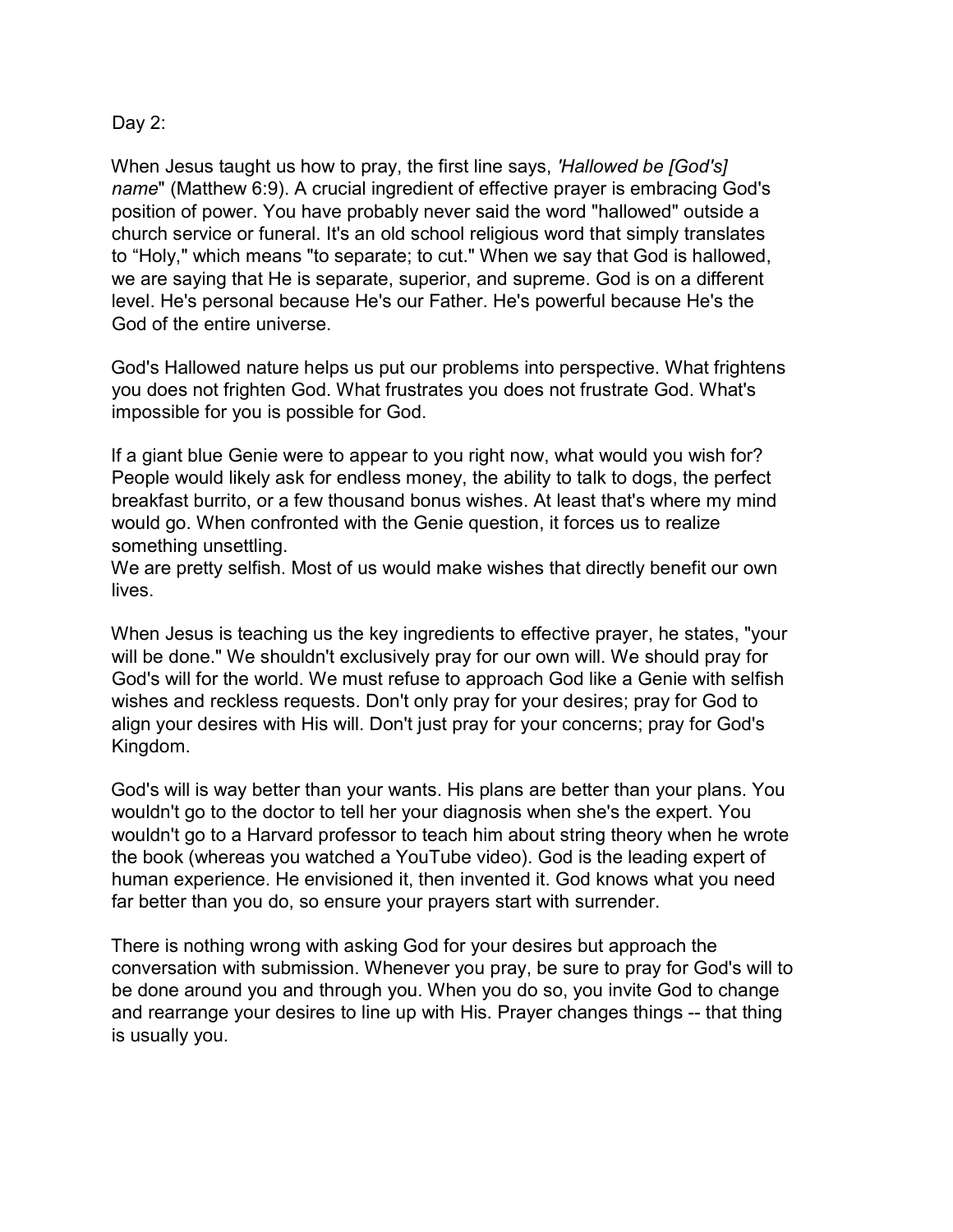## Day 2:

When Jesus taught us how to pray, the first line says, 'Hallowed be [God's] name" (Matthew 6:9). A crucial ingredient of effective prayer is embracing God's position of power. You have probably never said the word "hallowed" outside a church service or funeral. It's an old school religious word that simply translates to "Holy," which means "to separate; to cut." When we say that God is hallowed, we are saying that He is separate, superior, and supreme. God is on a different level. He's personal because He's our Father. He's powerful because He's the God of the entire universe.

God's Hallowed nature helps us put our problems into perspective. What frightens you does not frighten God. What frustrates you does not frustrate God. What's impossible for you is possible for God.

If a giant blue Genie were to appear to you right now, what would you wish for? People would likely ask for endless money, the ability to talk to dogs, the perfect breakfast burrito, or a few thousand bonus wishes. At least that's where my mind would go. When confronted with the Genie question, it forces us to realize something unsettling.

We are pretty selfish. Most of us would make wishes that directly benefit our own lives.

When Jesus is teaching us the key ingredients to effective prayer, he states, "your will be done." We shouldn't exclusively pray for our own will. We should pray for God's will for the world. We must refuse to approach God like a Genie with selfish wishes and reckless requests. Don't only pray for your desires; pray for God to align your desires with His will. Don't just pray for your concerns; pray for God's Kingdom.

God's will is way better than your wants. His plans are better than your plans. You wouldn't go to the doctor to tell her your diagnosis when she's the expert. You wouldn't go to a Harvard professor to teach him about string theory when he wrote the book (whereas you watched a YouTube video). God is the leading expert of human experience. He envisioned it, then invented it. God knows what you need far better than you do, so ensure your prayers start with surrender.

There is nothing wrong with asking God for your desires but approach the conversation with submission. Whenever you pray, be sure to pray for God's will to be done around you and through you. When you do so, you invite God to change and rearrange your desires to line up with His. Prayer changes things -- that thing is usually you.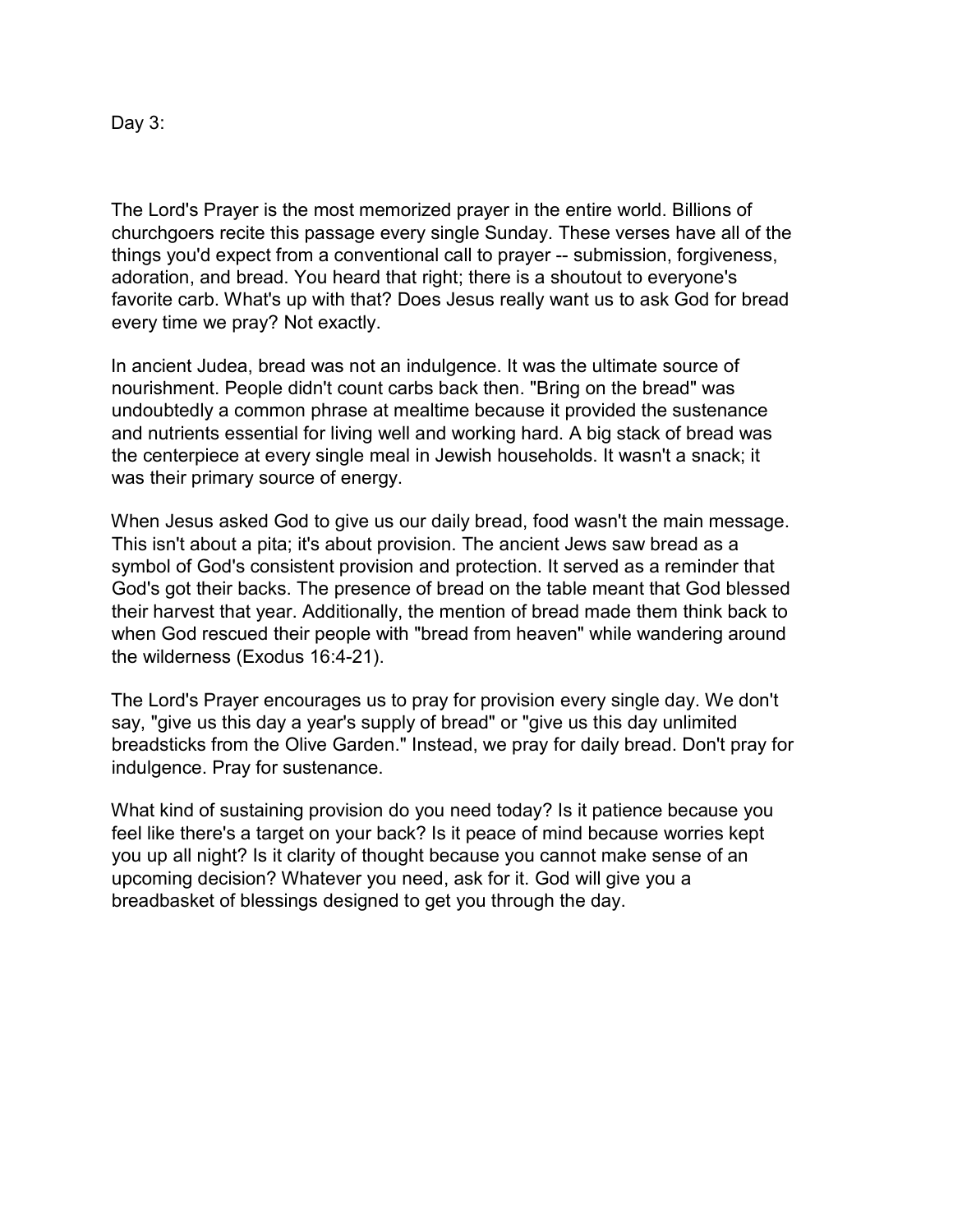Day 3:

The Lord's Prayer is the most memorized prayer in the entire world. Billions of churchgoers recite this passage every single Sunday. These verses have all of the things you'd expect from a conventional call to prayer -- submission, forgiveness, adoration, and bread. You heard that right; there is a shoutout to everyone's favorite carb. What's up with that? Does Jesus really want us to ask God for bread every time we pray? Not exactly.

In ancient Judea, bread was not an indulgence. It was the ultimate source of nourishment. People didn't count carbs back then. "Bring on the bread" was undoubtedly a common phrase at mealtime because it provided the sustenance and nutrients essential for living well and working hard. A big stack of bread was the centerpiece at every single meal in Jewish households. It wasn't a snack; it was their primary source of energy.

When Jesus asked God to give us our daily bread, food wasn't the main message. This isn't about a pita; it's about provision. The ancient Jews saw bread as a symbol of God's consistent provision and protection. It served as a reminder that God's got their backs. The presence of bread on the table meant that God blessed their harvest that year. Additionally, the mention of bread made them think back to when God rescued their people with "bread from heaven" while wandering around the wilderness (Exodus 16:4-21).

The Lord's Prayer encourages us to pray for provision every single day. We don't say, "give us this day a year's supply of bread" or "give us this day unlimited breadsticks from the Olive Garden." Instead, we pray for daily bread. Don't pray for indulgence. Pray for sustenance.

What kind of sustaining provision do you need today? Is it patience because you feel like there's a target on your back? Is it peace of mind because worries kept you up all night? Is it clarity of thought because you cannot make sense of an upcoming decision? Whatever you need, ask for it. God will give you a breadbasket of blessings designed to get you through the day.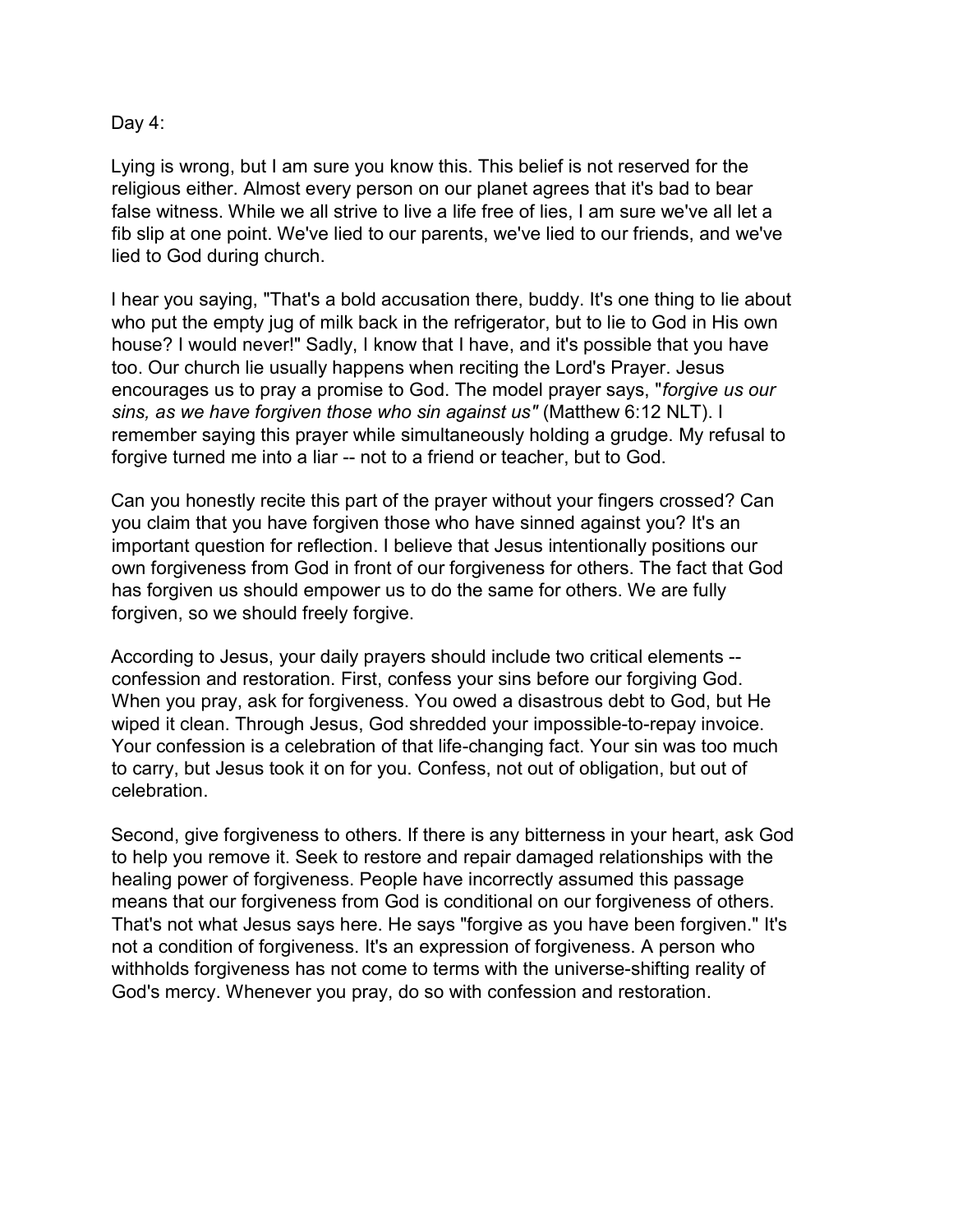## Day 4:

Lying is wrong, but I am sure you know this. This belief is not reserved for the religious either. Almost every person on our planet agrees that it's bad to bear false witness. While we all strive to live a life free of lies, I am sure we've all let a fib slip at one point. We've lied to our parents, we've lied to our friends, and we've lied to God during church.

I hear you saying, "That's a bold accusation there, buddy. It's one thing to lie about who put the empty jug of milk back in the refrigerator, but to lie to God in His own house? I would never!" Sadly, I know that I have, and it's possible that you have too. Our church lie usually happens when reciting the Lord's Prayer. Jesus encourages us to pray a promise to God. The model prayer says, "forgive us our sins, as we have forgiven those who sin against us" (Matthew 6:12 NLT). I remember saying this prayer while simultaneously holding a grudge. My refusal to forgive turned me into a liar -- not to a friend or teacher, but to God.

Can you honestly recite this part of the prayer without your fingers crossed? Can you claim that you have forgiven those who have sinned against you? It's an important question for reflection. I believe that Jesus intentionally positions our own forgiveness from God in front of our forgiveness for others. The fact that God has forgiven us should empower us to do the same for others. We are fully forgiven, so we should freely forgive.

According to Jesus, your daily prayers should include two critical elements - confession and restoration. First, confess your sins before our forgiving God. When you pray, ask for forgiveness. You owed a disastrous debt to God, but He wiped it clean. Through Jesus, God shredded your impossible-to-repay invoice. Your confession is a celebration of that life-changing fact. Your sin was too much to carry, but Jesus took it on for you. Confess, not out of obligation, but out of celebration.

Second, give forgiveness to others. If there is any bitterness in your heart, ask God to help you remove it. Seek to restore and repair damaged relationships with the healing power of forgiveness. People have incorrectly assumed this passage means that our forgiveness from God is conditional on our forgiveness of others. That's not what Jesus says here. He says "forgive as you have been forgiven." It's not a condition of forgiveness. It's an expression of forgiveness. A person who withholds forgiveness has not come to terms with the universe-shifting reality of God's mercy. Whenever you pray, do so with confession and restoration.